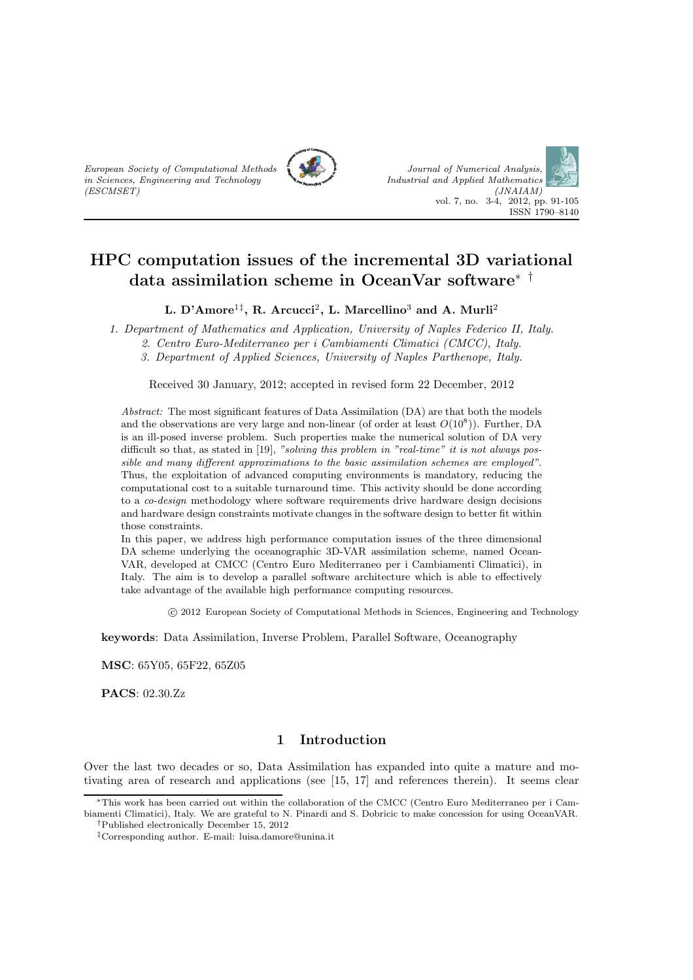



L. D'Amore<sup>1‡</sup>, R. Arcucci<sup>2</sup>, L. Marcellino<sup>3</sup> and A. Murli<sup>2</sup>

1. Department of Mathematics and Application, University of Naples Federico II, Italy.

2. Centro Euro-Mediterraneo per i Cambiamenti Climatici (CMCC), Italy.

3. Department of Applied Sciences, University of Naples Parthenope, Italy.

Received 30 January, 2012; accepted in revised form 22 December, 2012

Abstract: The most significant features of Data Assimilation (DA) are that both the models and the observations are very large and non-linear (of order at least  $O(10^8)$ ). Further, DA is an ill-posed inverse problem. Such properties make the numerical solution of DA very difficult so that, as stated in [19], "solving this problem in "real-time" it is not always possible and many different approximations to the basic assimilation schemes are employed". Thus, the exploitation of advanced computing environments is mandatory, reducing the computational cost to a suitable turnaround time. This activity should be done according to a co-design methodology where software requirements drive hardware design decisions and hardware design constraints motivate changes in the software design to better fit within those constraints.

In this paper, we address high performance computation issues of the three dimensional DA scheme underlying the oceanographic 3D-VAR assimilation scheme, named Ocean-VAR, developed at CMCC (Centro Euro Mediterraneo per i Cambiamenti Climatici), in Italy. The aim is to develop a parallel software architecture which is able to effectively take advantage of the available high performance computing resources.

c 2012 European Society of Computational Methods in Sciences, Engineering and Technology

keywords: Data Assimilation, Inverse Problem, Parallel Software, Oceanography

MSC: 65Y05, 65F22, 65Z05

in Sciences, Engineering and Technology

(ESCMSET)

PACS: 02.30.Zz

# 1 Introduction

Over the last two decades or so, Data Assimilation has expanded into quite a mature and motivating area of research and applications (see [15, 17] and references therein). It seems clear

<sup>∗</sup>This work has been carried out within the collaboration of the CMCC (Centro Euro Mediterraneo per i Cambiamenti Climatici), Italy. We are grateful to N. Pinardi and S. Dobricic to make concession for using OceanVAR. †Published electronically December 15, 2012

<sup>‡</sup>Corresponding author. E-mail: luisa.damore@unina.it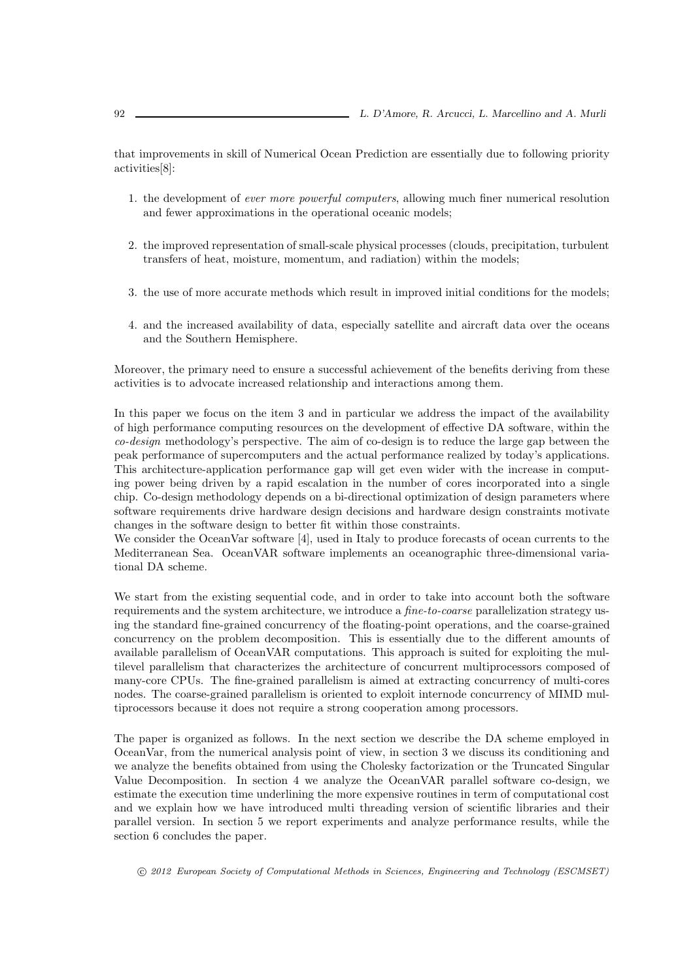that improvements in skill of Numerical Ocean Prediction are essentially due to following priority activities[8]:

- 1. the development of ever more powerful computers, allowing much finer numerical resolution and fewer approximations in the operational oceanic models;
- 2. the improved representation of small-scale physical processes (clouds, precipitation, turbulent transfers of heat, moisture, momentum, and radiation) within the models;
- 3. the use of more accurate methods which result in improved initial conditions for the models;
- 4. and the increased availability of data, especially satellite and aircraft data over the oceans and the Southern Hemisphere.

Moreover, the primary need to ensure a successful achievement of the benefits deriving from these activities is to advocate increased relationship and interactions among them.

In this paper we focus on the item 3 and in particular we address the impact of the availability of high performance computing resources on the development of effective DA software, within the co-design methodology's perspective. The aim of co-design is to reduce the large gap between the peak performance of supercomputers and the actual performance realized by today's applications. This architecture-application performance gap will get even wider with the increase in computing power being driven by a rapid escalation in the number of cores incorporated into a single chip. Co-design methodology depends on a bi-directional optimization of design parameters where software requirements drive hardware design decisions and hardware design constraints motivate changes in the software design to better fit within those constraints.

We consider the OceanVar software [4], used in Italy to produce forecasts of ocean currents to the Mediterranean Sea. OceanVAR software implements an oceanographic three-dimensional variational DA scheme.

We start from the existing sequential code, and in order to take into account both the software requirements and the system architecture, we introduce a *fine-to-coarse* parallelization strategy using the standard fine-grained concurrency of the floating-point operations, and the coarse-grained concurrency on the problem decomposition. This is essentially due to the different amounts of available parallelism of OceanVAR computations. This approach is suited for exploiting the multilevel parallelism that characterizes the architecture of concurrent multiprocessors composed of many-core CPUs. The fine-grained parallelism is aimed at extracting concurrency of multi-cores nodes. The coarse-grained parallelism is oriented to exploit internode concurrency of MIMD multiprocessors because it does not require a strong cooperation among processors.

The paper is organized as follows. In the next section we describe the DA scheme employed in OceanVar, from the numerical analysis point of view, in section 3 we discuss its conditioning and we analyze the benefits obtained from using the Cholesky factorization or the Truncated Singular Value Decomposition. In section 4 we analyze the OceanVAR parallel software co-design, we estimate the execution time underlining the more expensive routines in term of computational cost and we explain how we have introduced multi threading version of scientific libraries and their parallel version. In section 5 we report experiments and analyze performance results, while the section 6 concludes the paper.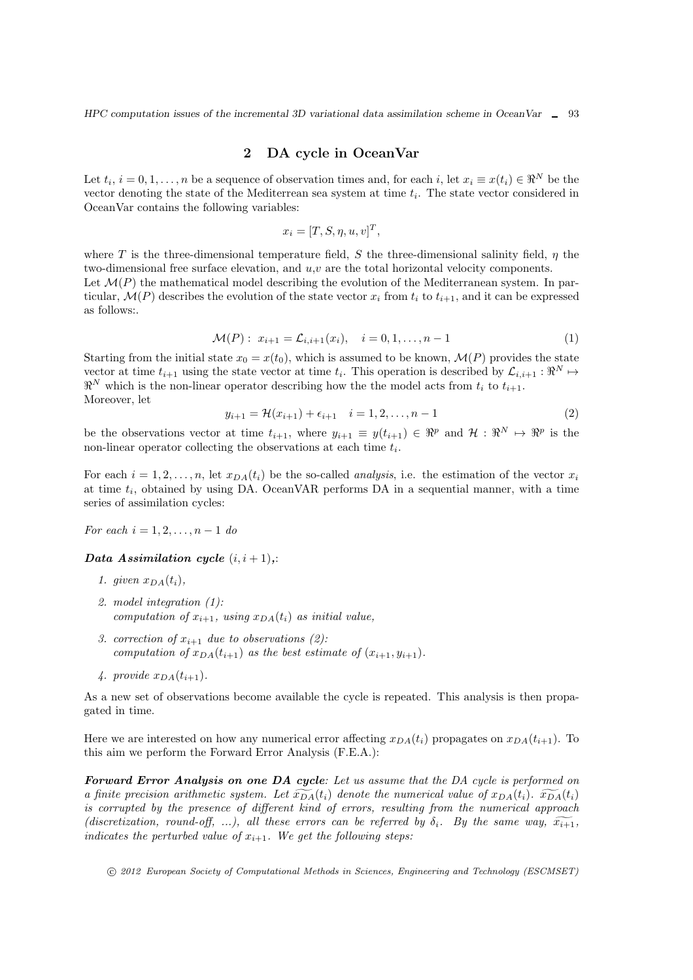## 2 DA cycle in OceanVar

Let  $t_i$ ,  $i = 0, 1, \ldots, n$  be a sequence of observation times and, for each i, let  $x_i \equiv x(t_i) \in \Re^N$  be the vector denoting the state of the Mediterrean sea system at time  $t_i$ . The state vector considered in OceanVar contains the following variables:

$$
x_i = [T, S, \eta, u, v]^T,
$$

where T is the three-dimensional temperature field, S the three-dimensional salinity field,  $\eta$  the two-dimensional free surface elevation, and  $u, v$  are the total horizontal velocity components. Let  $\mathcal{M}(P)$  the mathematical model describing the evolution of the Mediterranean system. In particular,  $\mathcal{M}(P)$  describes the evolution of the state vector  $x_i$  from  $t_i$  to  $t_{i+1}$ , and it can be expressed as follows:.

$$
\mathcal{M}(P): x_{i+1} = \mathcal{L}_{i,i+1}(x_i), \quad i = 0, 1, \dots, n-1 \tag{1}
$$

Starting from the initial state  $x_0 = x(t_0)$ , which is assumed to be known,  $\mathcal{M}(P)$  provides the state vector at time  $t_{i+1}$  using the state vector at time  $t_i$ . This operation is described by  $\mathcal{L}_{i,i+1} : \Re^N \mapsto$  $\mathbb{R}^N$  which is the non-linear operator describing how the the model acts from  $t_i$  to  $t_{i+1}$ . Moreover, let

$$
y_{i+1} = \mathcal{H}(x_{i+1}) + \epsilon_{i+1} \quad i = 1, 2, \dots, n-1 \tag{2}
$$

be the observations vector at time  $t_{i+1}$ , where  $y_{i+1} \equiv y(t_{i+1}) \in \Re^p$  and  $\mathcal{H} : \Re^N \mapsto \Re^p$  is the non-linear operator collecting the observations at each time  $t_i$ .

For each  $i = 1, 2, ..., n$ , let  $x_{DA}(t_i)$  be the so-called *analysis*, i.e. the estimation of the vector  $x_i$ at time  $t_i$ , obtained by using DA. OceanVAR performs DA in a sequential manner, with a time series of assimilation cycles:

For each  $i = 1, 2, \ldots, n - 1$  do

#### Data Assimilation cycle  $(i, i + 1)$ ,:

- 1. given  $x_{DA}(t_i)$ ,
- 2. model integration (1): computation of  $x_{i+1}$ , using  $x_{DA}(t_i)$  as initial value,
- 3. correction of  $x_{i+1}$  due to observations (2): computation of  $x_{DA}(t_{i+1})$  as the best estimate of  $(x_{i+1}, y_{i+1})$ .
- 4. provide  $x_{DA}(t_{i+1})$ .

As a new set of observations become available the cycle is repeated. This analysis is then propagated in time.

Here we are interested on how any numerical error affecting  $x_{DA}(t_i)$  propagates on  $x_{DA}(t_{i+1})$ . To this aim we perform the Forward Error Analysis (F.E.A.):

Forward Error Analysis on one DA cycle: Let us assume that the DA cycle is performed on a finite precision arithmetic system. Let  $\widetilde{X_{DA}}(t_i)$  denote the numerical value of  $x_{DA}(t_i)$ .  $\widetilde{X_{DA}}(t_i)$ is corrupted by the presence of different kind of errors, resulting from the numerical approach (discretization, round-off, ...), all these errors can be referred by  $\delta_i$ . By the same way,  $\widetilde{x_{i+1}}$ , indicates the perturbed value of  $x_{i+1}$ . We get the following steps: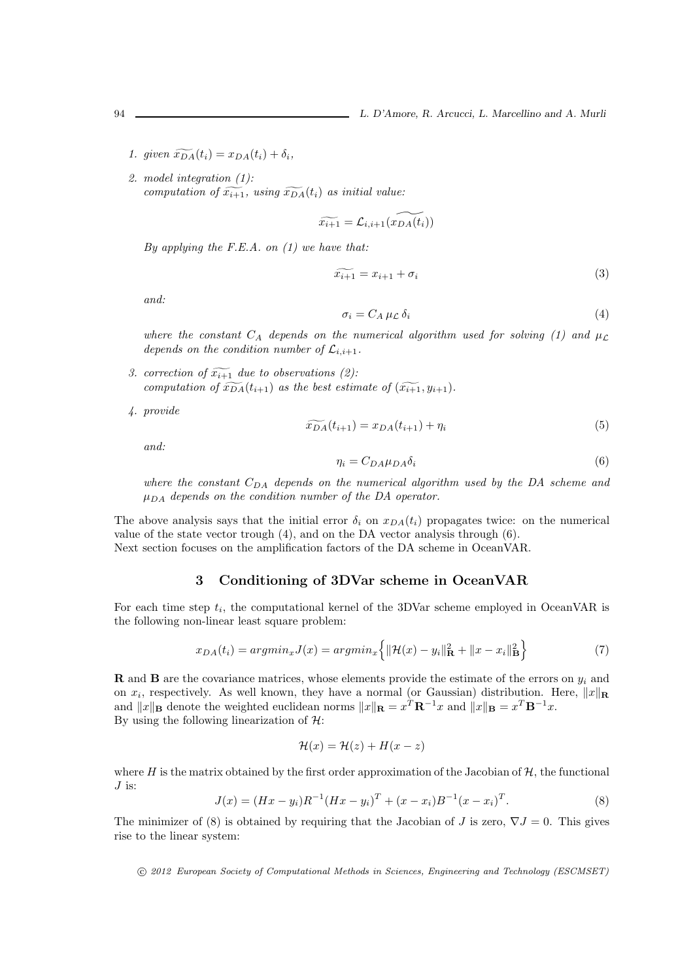1. given  $\widetilde{x_{DA}}(t_i) = x_{DA}(t_i) + \delta_i$ ,

2. model integration (1): computation of  $\widetilde{x_{i+1}}$ , using  $\widetilde{x_{DA}}(t_i)$  as initial value:

$$
\widetilde{x_{i+1}} = \mathcal{L}_{i,i+1}(\widetilde{x_{DA}(t_i)})
$$

By applying the F.E.A. on  $(1)$  we have that:

$$
\widetilde{x_{i+1}} = x_{i+1} + \sigma_i \tag{3}
$$

and:

$$
\sigma_i = C_A \,\mu \mathcal{L} \,\delta_i \tag{4}
$$

where the constant  $C_A$  depends on the numerical algorithm used for solving (1) and  $\mu_L$ depends on the condition number of  $\mathcal{L}_{i,i+1}$ .

- 3. correction of  $\widetilde{x_{i+1}}$  due to observations (2): computation of  $\widetilde{x_{DA}}(t_{i+1})$  as the best estimate of  $(\widetilde{x_{i+1}}, y_{i+1})$ .
- 4. provide

$$
\widetilde{D(A}(t_{i+1}) = x_{DA}(t_{i+1}) + \eta_i \tag{5}
$$

and:

$$
\eta_i = C_{DA} \mu_{DA} \delta_i \tag{6}
$$

where the constant  $C_{DA}$  depends on the numerical algorithm used by the DA scheme and  $\mu_{DA}$  depends on the condition number of the DA operator.

The above analysis says that the initial error  $\delta_i$  on  $x_{DA}(t_i)$  propagates twice: on the numerical value of the state vector trough (4), and on the DA vector analysis through (6). Next section focuses on the amplification factors of the DA scheme in OceanVAR.

## 3 Conditioning of 3DVar scheme in OceanVAR

For each time step  $t_i$ , the computational kernel of the 3DVar scheme employed in OceanVAR is the following non-linear least square problem:

$$
x_{DA}(t_i) = argmin_x J(x) = argmin_x \left\{ ||\mathcal{H}(x) - y_i||^2 + ||x - x_i||^2 \mathbf{B} \right\}
$$
\n<sup>(7)</sup>

**R** and **B** are the covariance matrices, whose elements provide the estimate of the errors on  $y_i$  and on  $x_i$ , respectively. As well known, they have a normal (or Gaussian) distribution. Here,  $||x||_{\mathbf{R}}$ and  $||x||_B$  denote the weighted euclidean norms  $||x||_B = x^T B^{-1}x$  and  $||x||_B = x^T B^{-1}x$ . By using the following linearization of  $H$ :

$$
\mathcal{H}(x) = \mathcal{H}(z) + H(x - z)
$$

where H is the matrix obtained by the first order approximation of the Jacobian of  $H$ , the functional  $J$  is:

$$
J(x) = (Hx - y_i)R^{-1}(Hx - y_i)^T + (x - x_i)B^{-1}(x - x_i)^T.
$$
\n(8)

The minimizer of (8) is obtained by requiring that the Jacobian of J is zero,  $\nabla J = 0$ . This gives rise to the linear system: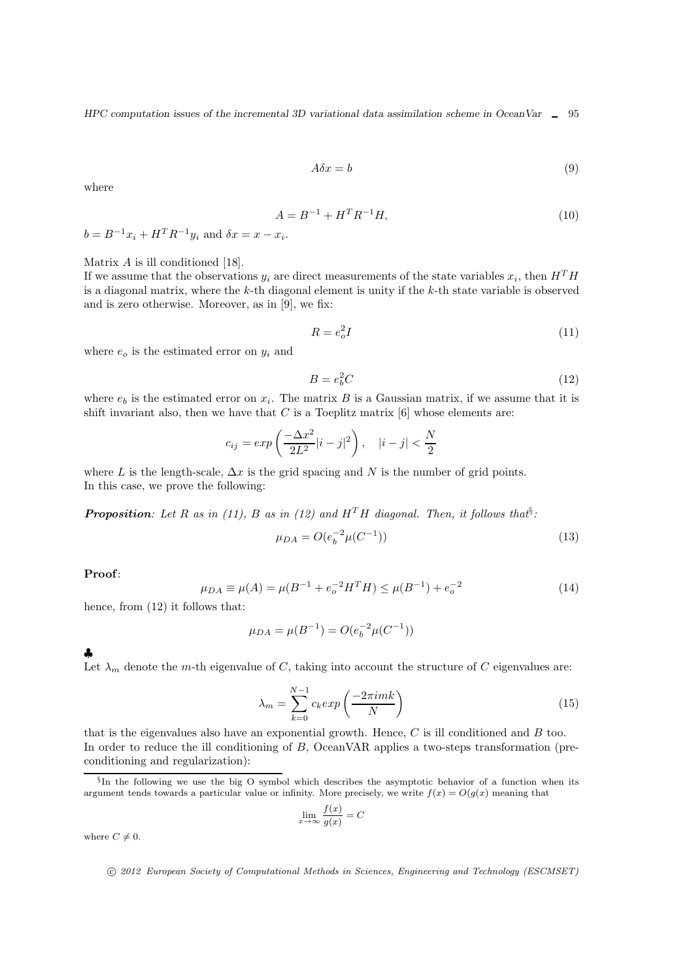$$
A\delta x = b \tag{9}
$$

where

$$
A = B^{-1} + H^T R^{-1} H,\t\t(10)
$$

 $b = B^{-1}x_i + H^{T}R^{-1}y_i$  and  $\delta x = x - x_i$ .

Matrix A is ill conditioned [18].

If we assume that the observations  $y_i$  are direct measurements of the state variables  $x_i$ , then  $H^T H$ is a diagonal matrix, where the  $k$ -th diagonal element is unity if the  $k$ -th state variable is observed and is zero otherwise. Moreover, as in [9], we fix:

$$
R = e_o^2 I \tag{11}
$$

where  $e_0$  is the estimated error on  $y_i$  and

$$
B = e_b^2 C \tag{12}
$$

where  $e_b$  is the estimated error on  $x_i$ . The matrix B is a Gaussian matrix, if we assume that it is shift invariant also, then we have that  $C$  is a Toeplitz matrix  $[6]$  whose elements are:

$$
c_{ij} = exp\left(\frac{-\Delta x^2}{2L^2}|i - j|^2\right), \quad |i - j| < \frac{N}{2}
$$

where L is the length-scale,  $\Delta x$  is the grid spacing and N is the number of grid points. In this case, we prove the following:

**Proposition:** Let R as in (11), B as in (12) and  $H^TH$  diagonal. Then, it follows that<sup>§</sup>:

$$
\mu_{DA} = O(e_b^{-2} \mu(C^{-1})) \tag{13}
$$

Proof:

$$
\mu_{DA} \equiv \mu(A) = \mu(B^{-1} + e_o^{-2}H^T H) \le \mu(B^{-1}) + e_o^{-2}
$$
\n(14)

hence, from  $(12)$  it follows that:

$$
\mu_{DA} = \mu(B^{-1}) = O(e_b^{-2}\mu(C^{-1}))
$$

♣

Let  $\lambda_m$  denote the m-th eigenvalue of C, taking into account the structure of C eigenvalues are:

$$
\lambda_m = \sum_{k=0}^{N-1} c_k \exp\left(\frac{-2\pi i mk}{N}\right) \tag{15}
$$

that is the eigenvalues also have an exponential growth. Hence,  $C$  is ill conditioned and  $B$  too. In order to reduce the ill conditioning of B, OceanVAR applies a two-steps transformation (preconditioning and regularization):

$$
\lim_{x \to \infty} \frac{f(x)}{g(x)} = C
$$

where  $C \neq 0$ .

<sup>§</sup> In the following we use the big O symbol which describes the asymptotic behavior of a function when its argument tends towards a particular value or infinity. More precisely, we write  $f(x) = O(g(x))$  meaning that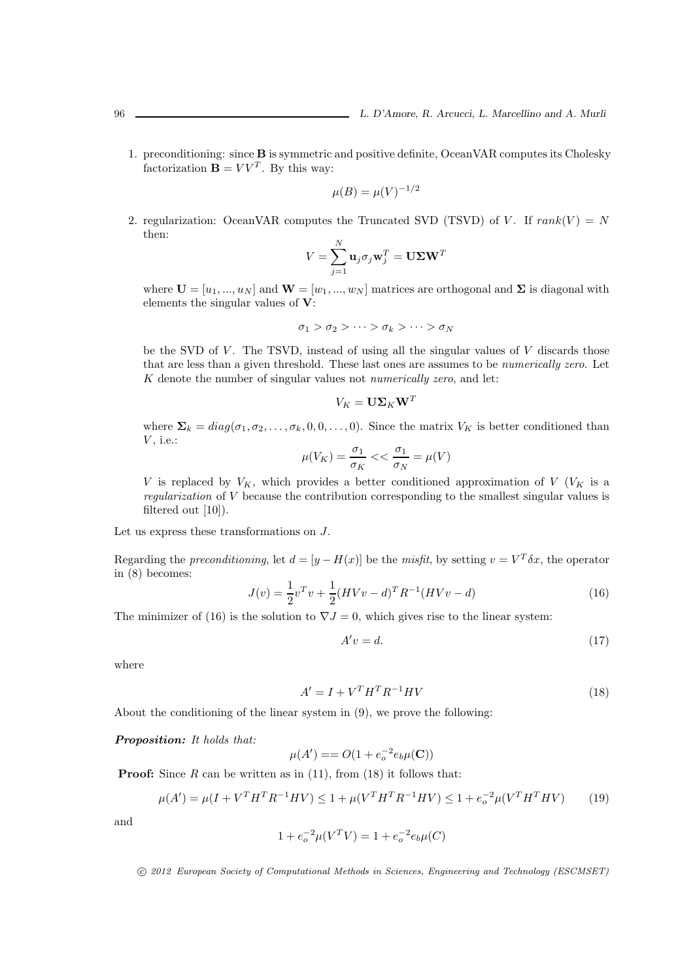1. preconditioning: since B is symmetric and positive definite, OceanVAR computes its Cholesky factorization  $\mathbf{B} = V V^T$ . By this way:

$$
\mu(B) = \mu(V)^{-1/2}
$$

2. regularization: OceanVAR computes the Truncated SVD (TSVD) of V. If  $rank(V) = N$ then:  $\ddot{\phantom{a}}$ 

$$
V = \sum_{j=1}^N \mathbf{u}_j \sigma_j \mathbf{w}_j^T = \mathbf{U} \mathbf{\Sigma} \mathbf{W}^T
$$

where  $\mathbf{U} = [u_1, ..., u_N]$  and  $\mathbf{W} = [w_1, ..., w_N]$  matrices are orthogonal and  $\Sigma$  is diagonal with elements the singular values of V:

$$
\sigma_1 > \sigma_2 > \cdots > \sigma_k > \cdots > \sigma_N
$$

be the SVD of  $V$ . The TSVD, instead of using all the singular values of  $V$  discards those that are less than a given threshold. These last ones are assumes to be *numerically zero*. Let  $K$  denote the number of singular values not *numerically zero*, and let:

$$
V_K = \mathbf{U} \mathbf{\Sigma}_K \mathbf{W}^T
$$

where  $\Sigma_k = diag(\sigma_1, \sigma_2, \ldots, \sigma_k, 0, 0, \ldots, 0)$ . Since the matrix  $V_K$  is better conditioned than  $V$ , i.e.:

$$
\mu(V_K)=\frac{\sigma_1}{\sigma_K}<<\frac{\sigma_1}{\sigma_N}=\mu(V)
$$

V is replaced by  $V_K$ , which provides a better conditioned approximation of V ( $V_K$  is a regularization of V because the contribution corresponding to the smallest singular values is filtered out [10]).

Let us express these transformations on J.

Regarding the *preconditioning*, let  $d = [y - H(x)]$  be the *misfit*, by setting  $v = V^T \delta x$ , the operator in (8) becomes:

$$
J(v) = \frac{1}{2}v^{T}v + \frac{1}{2}(HVv - d)^{T}R^{-1}(HVv - d)
$$
\n(16)

The minimizer of (16) is the solution to  $\nabla J = 0$ , which gives rise to the linear system:

$$
A'v = d.\t\t(17)
$$

where

$$
A' = I + V^T H^T R^{-1} H V \tag{18}
$$

About the conditioning of the linear system in (9), we prove the following:

Proposition: It holds that:

$$
\mu(A') = O(1 + e_o^{-2} e_b \mu(C))
$$

**Proof:** Since  $R$  can be written as in  $(11)$ , from  $(18)$  it follows that:

$$
\mu(A') = \mu(I + V^T H^T R^{-1} H V) \le 1 + \mu(V^T H^T R^{-1} H V) \le 1 + e_o^{-2} \mu(V^T H^T H V) \tag{19}
$$

and

$$
1 + e_o^{-2} \mu(V^T V) = 1 + e_o^{-2} e_b \mu(C)
$$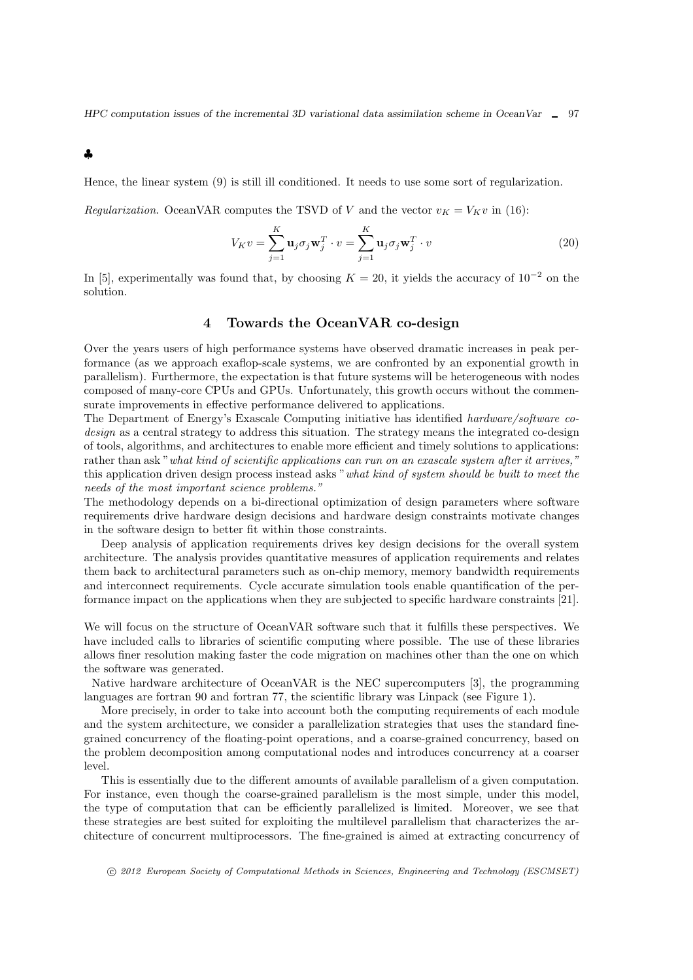♣

Hence, the linear system (9) is still ill conditioned. It needs to use some sort of regularization.

Regularization. OceanVAR computes the TSVD of V and the vector  $v_K = V_K v$  in (16):

$$
V_K v = \sum_{j=1}^K \mathbf{u}_j \sigma_j \mathbf{w}_j^T \cdot v = \sum_{j=1}^K \mathbf{u}_j \sigma_j \mathbf{w}_j^T \cdot v
$$
 (20)

In [5], experimentally was found that, by choosing  $K = 20$ , it yields the accuracy of  $10^{-2}$  on the solution.

## 4 Towards the OceanVAR co-design

Over the years users of high performance systems have observed dramatic increases in peak performance (as we approach exaflop-scale systems, we are confronted by an exponential growth in parallelism). Furthermore, the expectation is that future systems will be heterogeneous with nodes composed of many-core CPUs and GPUs. Unfortunately, this growth occurs without the commensurate improvements in effective performance delivered to applications.

The Department of Energy's Exascale Computing initiative has identified hardware/software codesign as a central strategy to address this situation. The strategy means the integrated co-design of tools, algorithms, and architectures to enable more efficient and timely solutions to applications: rather than ask "what kind of scientific applications can run on an exascale system after it arrives," this application driven design process instead asks "what kind of system should be built to meet the needs of the most important science problems."

The methodology depends on a bi-directional optimization of design parameters where software requirements drive hardware design decisions and hardware design constraints motivate changes in the software design to better fit within those constraints.

Deep analysis of application requirements drives key design decisions for the overall system architecture. The analysis provides quantitative measures of application requirements and relates them back to architectural parameters such as on-chip memory, memory bandwidth requirements and interconnect requirements. Cycle accurate simulation tools enable quantification of the performance impact on the applications when they are subjected to specific hardware constraints [21].

We will focus on the structure of OceanVAR software such that it fulfills these perspectives. We have included calls to libraries of scientific computing where possible. The use of these libraries allows finer resolution making faster the code migration on machines other than the one on which the software was generated.

Native hardware architecture of OceanVAR is the NEC supercomputers [3], the programming languages are fortran 90 and fortran 77, the scientific library was Linpack (see Figure 1).

More precisely, in order to take into account both the computing requirements of each module and the system architecture, we consider a parallelization strategies that uses the standard finegrained concurrency of the floating-point operations, and a coarse-grained concurrency, based on the problem decomposition among computational nodes and introduces concurrency at a coarser level.

This is essentially due to the different amounts of available parallelism of a given computation. For instance, even though the coarse-grained parallelism is the most simple, under this model, the type of computation that can be efficiently parallelized is limited. Moreover, we see that these strategies are best suited for exploiting the multilevel parallelism that characterizes the architecture of concurrent multiprocessors. The fine-grained is aimed at extracting concurrency of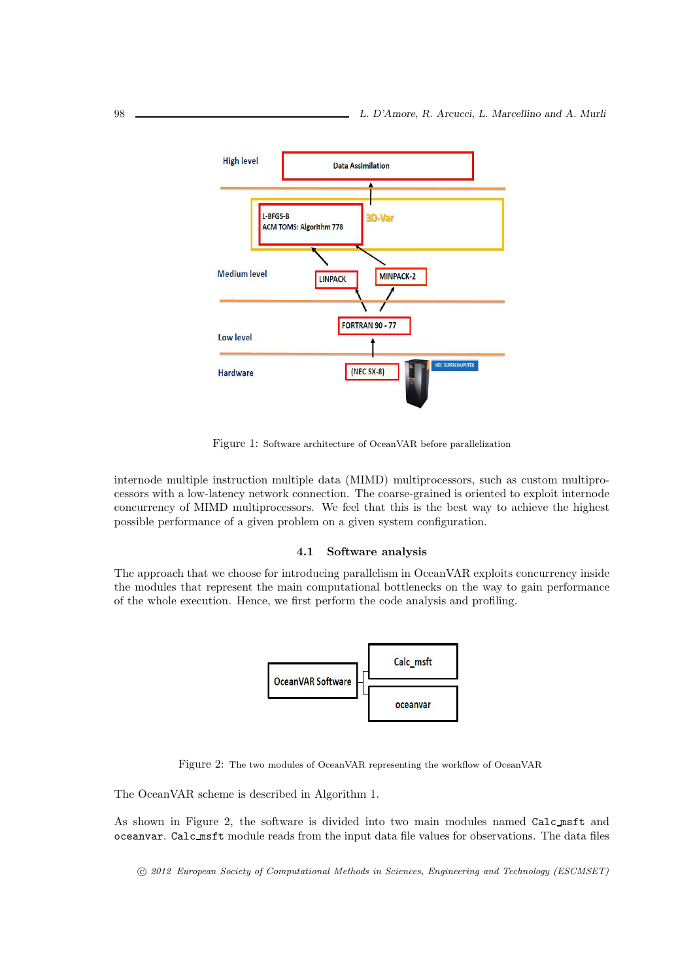

Figure 1: Software architecture of OceanVAR before parallelization

internode multiple instruction multiple data (MIMD) multiprocessors, such as custom multiprocessors with a low-latency network connection. The coarse-grained is oriented to exploit internode concurrency of MIMD multiprocessors. We feel that this is the best way to achieve the highest possible performance of a given problem on a given system configuration.

#### 4.1 Software analysis

The approach that we choose for introducing parallelism in OceanVAR exploits concurrency inside the modules that represent the main computational bottlenecks on the way to gain performance of the whole execution. Hence, we first perform the code analysis and profiling.



Figure 2: The two modules of OceanVAR representing the workflow of OceanVAR

The OceanVAR scheme is described in Algorithm 1.

As shown in Figure 2, the software is divided into two main modules named Calc msft and oceanvar. Calc msft module reads from the input data file values for observations. The data files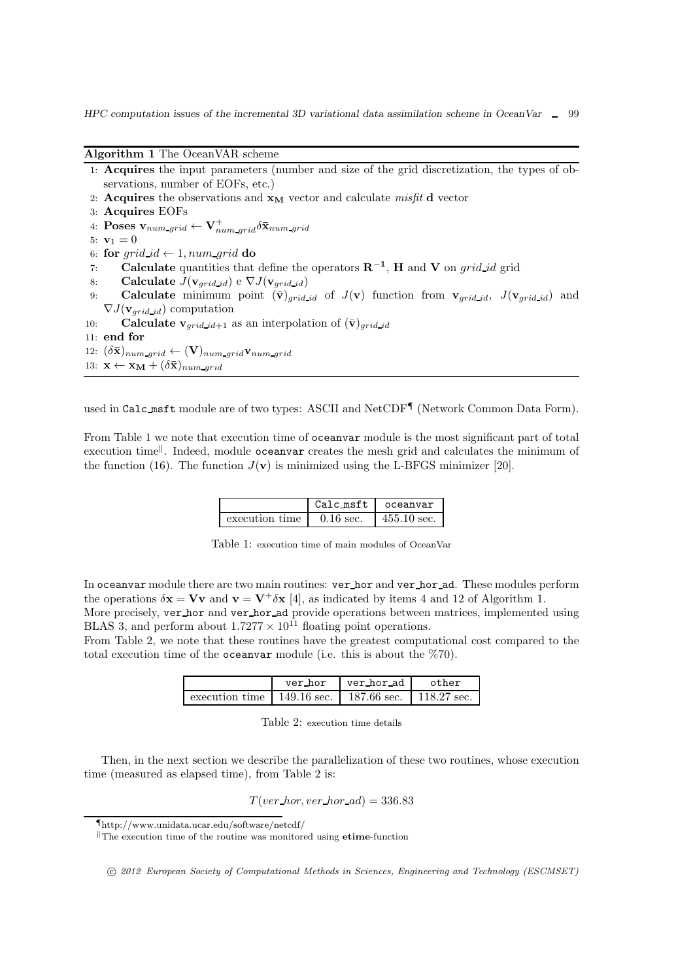Algorithm 1 The OceanVAR scheme

- 1: Acquires the input parameters (number and size of the grid discretization, the types of observations, number of EOFs, etc.)
- 2: Acquires the observations and  $x_M$  vector and calculate misfit d vector
- 3: Acquires EOFs
- 4:  $\textbf{Poses}\ \textbf{v}_{num\_grid} \leftarrow \textbf{V}_{num\_grid}^{+} \delta \bar{\textbf{x}}_{num\_grid}$
- 5:  $v_1 = 0$
- 6: for  $grid\_id \leftarrow 1$ , num\_grid do
- 7: **Calculate** quantities that define the operators  $\mathbb{R}^{-1}$ , **H** and **V** on grid id grid
- 8: Calculate  $J(\mathbf{v}_{grid\_id}) \in \nabla J(\mathbf{v}_{grid\_id})$
- 9: **Calculate** minimum point  $(\bar{\mathbf{v}})_{grid\_id}$  of  $J(\mathbf{v})$  function from  $\mathbf{v}_{grid\_id}$ ,  $J(\mathbf{v}_{grid\_id})$  and  $\nabla J(\mathbf{v}_{grid\_id})$  computation
- 10: **Calculate v**<sub>arid-id+1</sub> as an interpolation of  $(\bar{\mathbf{v}})$ <sub>arid-id</sub>
- 11: end for
- 12:  $(\delta \bar{\mathbf{x}})_{num\_grid} \leftarrow (\mathbf{V})_{num\_grid} \mathbf{v}_{num\_grid}$
- 13:  $\mathbf{x} \leftarrow \mathbf{x}_M + (\delta \mathbf{\bar{x}})_{num \; grid}$

used in Calc\_msft module are of two types: ASCII and NetCDF<sup>¶</sup> (Network Common Data Form).

From Table 1 we note that execution time of oceanvar module is the most significant part of total execution time<sup>||</sup>. Indeed, module oceanvar creates the mesh grid and calculates the minimum of the function (16). The function  $J(\mathbf{v})$  is minimized using the L-BFGS minimizer [20].

|                | Calc_msft   | oceanvar              |
|----------------|-------------|-----------------------|
| execution time | $0.16$ sec. | $455.10 \text{ sec.}$ |

Table 1: execution time of main modules of OceanVar

In oceanvar module there are two main routines: ver hor and ver hor ad. These modules perform the operations  $\delta x = Vv$  and  $v = V^{\dagger} \delta x$  [4], as indicated by items 4 and 12 of Algorithm 1. More precisely, ver hor and ver hor ad provide operations between matrices, implemented using

BLAS 3, and perform about  $1.7277 \times 10^{11}$  floating point operations.

From Table 2, we note that these routines have the greatest computational cost compared to the total execution time of the oceanvar module (i.e. this is about the %70).

|                                                          | ver hor | ver_hor_ad L | other |
|----------------------------------------------------------|---------|--------------|-------|
| execution time   149.16 sec.   187.66 sec.   118.27 sec. |         |              |       |

Table 2: execution time details

Then, in the next section we describe the parallelization of these two routines, whose execution time (measured as elapsed time), from Table 2 is:

 $T(ver_l nor, ver_l nor_d) = 336.83$ 

<sup>¶</sup>http://www.unidata.ucar.edu/software/netcdf/

 $\mathbb{T}$ The execution time of the routine was monitored using **etime**-function

c 2012 European Society of Computational Methods in Sciences, Engineering and Technology (ESCMSET)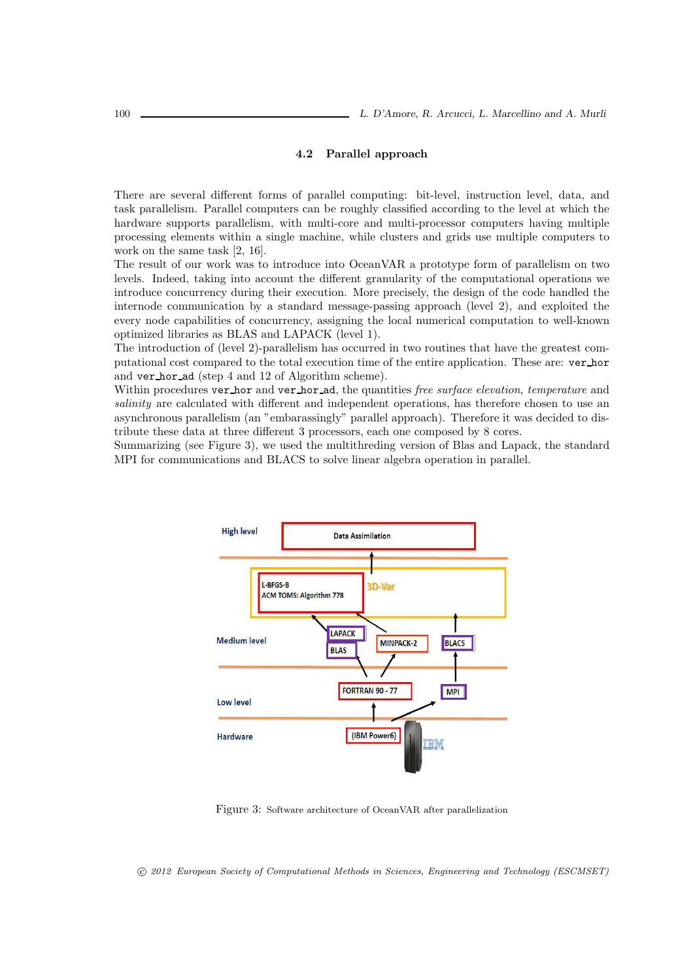### 4.2 Parallel approach

There are several different forms of parallel computing: bit-level, instruction level, data, and task parallelism. Parallel computers can be roughly classified according to the level at which the hardware supports parallelism, with multi-core and multi-processor computers having multiple processing elements within a single machine, while clusters and grids use multiple computers to work on the same task [2, 16].

The result of our work was to introduce into OceanVAR a prototype form of parallelism on two levels. Indeed, taking into account the different granularity of the computational operations we introduce concurrency during their execution. More precisely, the design of the code handled the internode communication by a standard message-passing approach (level 2), and exploited the every node capabilities of concurrency, assigning the local numerical computation to well-known optimized libraries as BLAS and LAPACK (level 1).

The introduction of (level 2)-parallelism has occurred in two routines that have the greatest computational cost compared to the total execution time of the entire application. These are: ver hor and ver hor ad (step 4 and 12 of Algorithm scheme).

Within procedures ver hor and ver hor ad, the quantities free surface elevation, temperature and salinity are calculated with different and independent operations, has therefore chosen to use an asynchronous parallelism (an "embarassingly" parallel approach). Therefore it was decided to distribute these data at three different 3 processors, each one composed by 8 cores.

Summarizing (see Figure 3), we used the multithreding version of Blas and Lapack, the standard MPI for communications and BLACS to solve linear algebra operation in parallel.



Figure 3: Software architecture of OceanVAR after parallelization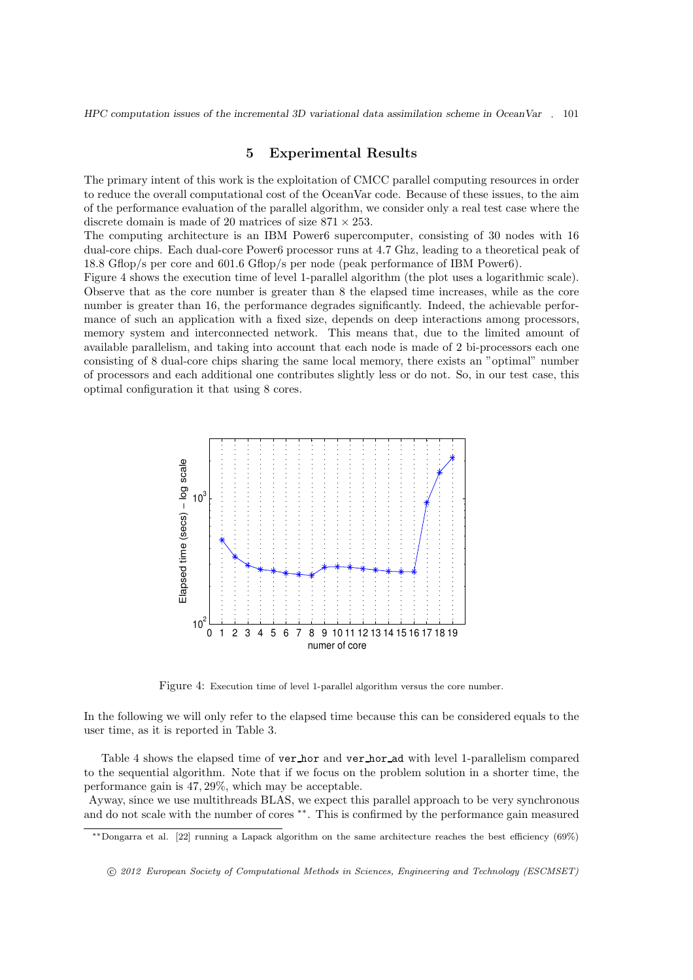## 5 Experimental Results

The primary intent of this work is the exploitation of CMCC parallel computing resources in order to reduce the overall computational cost of the OceanVar code. Because of these issues, to the aim of the performance evaluation of the parallel algorithm, we consider only a real test case where the discrete domain is made of 20 matrices of size  $871 \times 253$ .

The computing architecture is an IBM Power6 supercomputer, consisting of 30 nodes with 16 dual-core chips. Each dual-core Power6 processor runs at 4.7 Ghz, leading to a theoretical peak of 18.8 Gflop/s per core and 601.6 Gflop/s per node (peak performance of IBM Power6).

Figure 4 shows the execution time of level 1-parallel algorithm (the plot uses a logarithmic scale). Observe that as the core number is greater than 8 the elapsed time increases, while as the core number is greater than 16, the performance degrades significantly. Indeed, the achievable performance of such an application with a fixed size, depends on deep interactions among processors, memory system and interconnected network. This means that, due to the limited amount of available parallelism, and taking into account that each node is made of 2 bi-processors each one consisting of 8 dual-core chips sharing the same local memory, there exists an "optimal" number of processors and each additional one contributes slightly less or do not. So, in our test case, this optimal configuration it that using 8 cores.



Figure 4: Execution time of level 1-parallel algorithm versus the core number.

In the following we will only refer to the elapsed time because this can be considered equals to the user time, as it is reported in Table 3.

Table 4 shows the elapsed time of ver hor and ver hor ad with level 1-parallelism compared to the sequential algorithm. Note that if we focus on the problem solution in a shorter time, the performance gain is 47, 29%, which may be acceptable.

Ayway, since we use multithreads BLAS, we expect this parallel approach to be very synchronous and do not scale with the number of cores ∗∗. This is confirmed by the performance gain measured

<sup>∗∗</sup>Dongarra et al. [22] running a Lapack algorithm on the same architecture reaches the best efficiency (69%)

c 2012 European Society of Computational Methods in Sciences, Engineering and Technology (ESCMSET)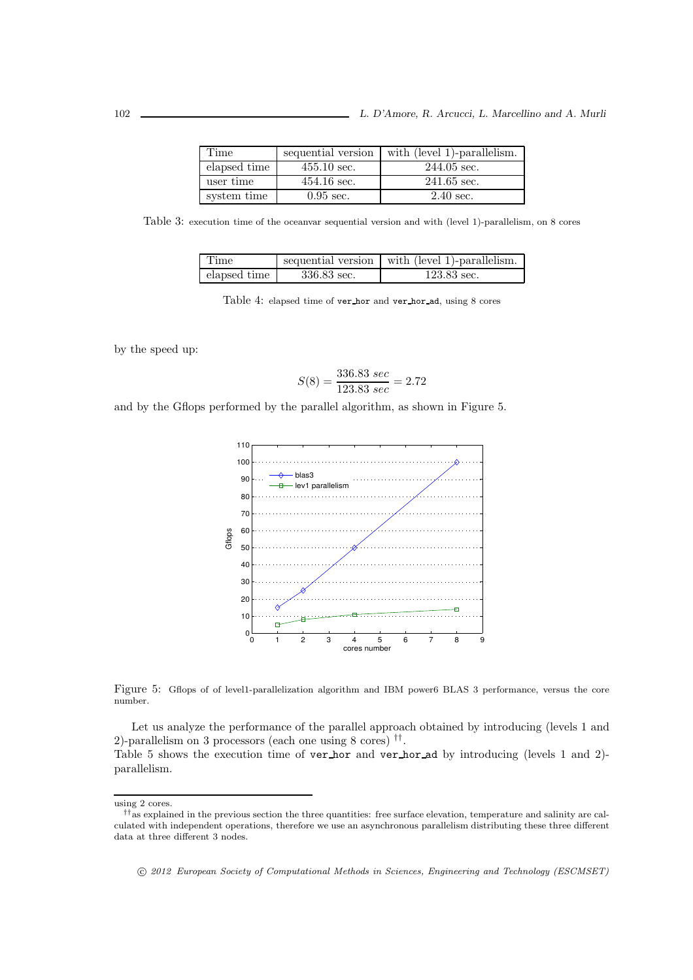| Time         | sequential version    | with (level 1)-parallelism. |
|--------------|-----------------------|-----------------------------|
| elapsed time | $455.10 \text{ sec.}$ | $244.05$ sec.               |
| user time    | $454.16$ sec.         | $241.65$ sec.               |
| system time  | $0.95 \text{ sec.}$   | $2.40 \text{ sec.}$         |

Table 3: execution time of the oceanvar sequential version and with (level 1)-parallelism, on 8 cores

| l Time       |             | sequential version with (level 1)-parallelism. |
|--------------|-------------|------------------------------------------------|
| elapsed time | 336.83 sec. | $123.83$ sec.                                  |

Table 4: elapsed time of ver hor and ver hor ad, using 8 cores

by the speed up:

$$
S(8) = \frac{336.83 \, sec}{123.83 \, sec} = 2.72
$$

and by the Gflops performed by the parallel algorithm, as shown in Figure 5.



Figure 5: Gflops of of level1-parallelization algorithm and IBM power6 BLAS 3 performance, versus the core number.

Let us analyze the performance of the parallel approach obtained by introducing (levels 1 and 2)-parallelism on 3 processors (each one using 8 cores) †† .

Table 5 shows the execution time of ver hor and ver hor ad by introducing (levels 1 and 2) parallelism.

using 2 cores.

<sup>††</sup>as explained in the previous section the three quantities: free surface elevation, temperature and salinity are calculated with independent operations, therefore we use an asynchronous parallelism distributing these three different data at three different 3 nodes.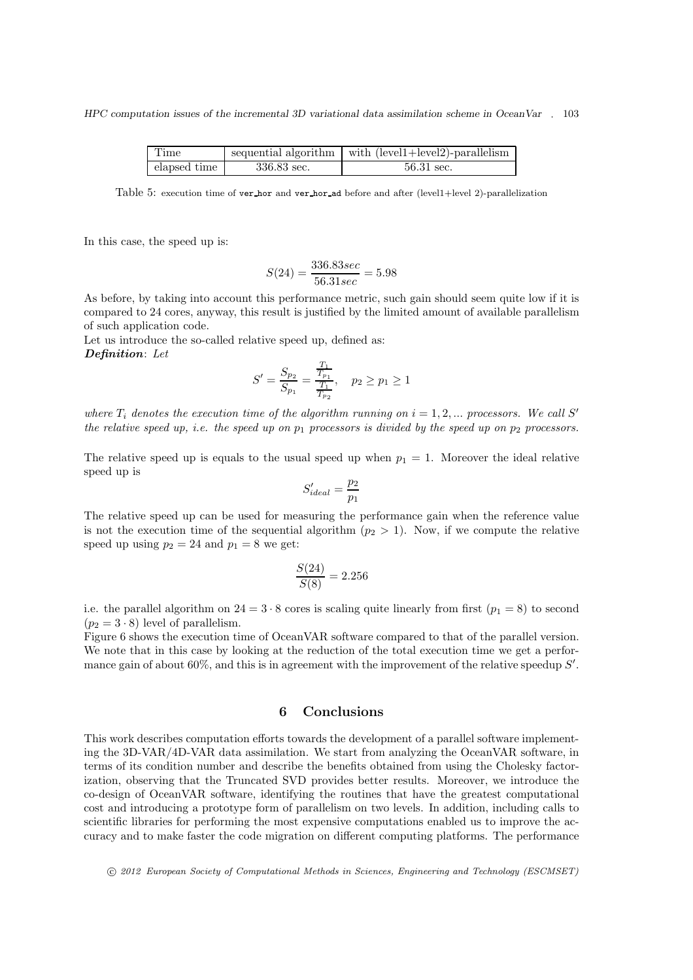| Time         |             | sequential algorithm $\vert$ with (level 1+level 2)-parallelism |
|--------------|-------------|-----------------------------------------------------------------|
| elapsed time | 336.83 sec. | 56.31 sec.                                                      |

Table 5: execution time of ver hor and ver hor ad before and after (level1+level 2)-parallelization

In this case, the speed up is:

$$
S(24)=\frac{336.83sec}{56.31sec}=5.98
$$

As before, by taking into account this performance metric, such gain should seem quite low if it is compared to 24 cores, anyway, this result is justified by the limited amount of available parallelism of such application code.

Let us introduce the so-called relative speed up, defined as: Definition: Let

$$
S' = \frac{S_{p_2}}{S_{p_1}} = \frac{\frac{T_1}{T_{p_1}}}{\frac{T_1}{T_{p_2}}}, \quad p_2 \ge p_1 \ge 1
$$

where  $T_i$  denotes the execution time of the algorithm running on  $i = 1, 2, ...$  processors. We call S' the relative speed up, i.e. the speed up on  $p_1$  processors is divided by the speed up on  $p_2$  processors.

The relative speed up is equals to the usual speed up when  $p_1 = 1$ . Moreover the ideal relative speed up is

$$
S'_{ideal} = \frac{p_2}{p_1}
$$

The relative speed up can be used for measuring the performance gain when the reference value is not the execution time of the sequential algorithm  $(p_2 > 1)$ . Now, if we compute the relative speed up using  $p_2 = 24$  and  $p_1 = 8$  we get:

$$
\frac{S(24)}{S(8)} = 2.256
$$

i.e. the parallel algorithm on  $24 = 3 \cdot 8$  cores is scaling quite linearly from first  $(p_1 = 8)$  to second  $(p_2 = 3 \cdot 8)$  level of parallelism.

Figure 6 shows the execution time of OceanVAR software compared to that of the parallel version. We note that in this case by looking at the reduction of the total execution time we get a performance gain of about 60%, and this is in agreement with the improvement of the relative speedup  $S'$ .

## 6 Conclusions

This work describes computation efforts towards the development of a parallel software implementing the 3D-VAR/4D-VAR data assimilation. We start from analyzing the OceanVAR software, in terms of its condition number and describe the benefits obtained from using the Cholesky factorization, observing that the Truncated SVD provides better results. Moreover, we introduce the co-design of OceanVAR software, identifying the routines that have the greatest computational cost and introducing a prototype form of parallelism on two levels. In addition, including calls to scientific libraries for performing the most expensive computations enabled us to improve the accuracy and to make faster the code migration on different computing platforms. The performance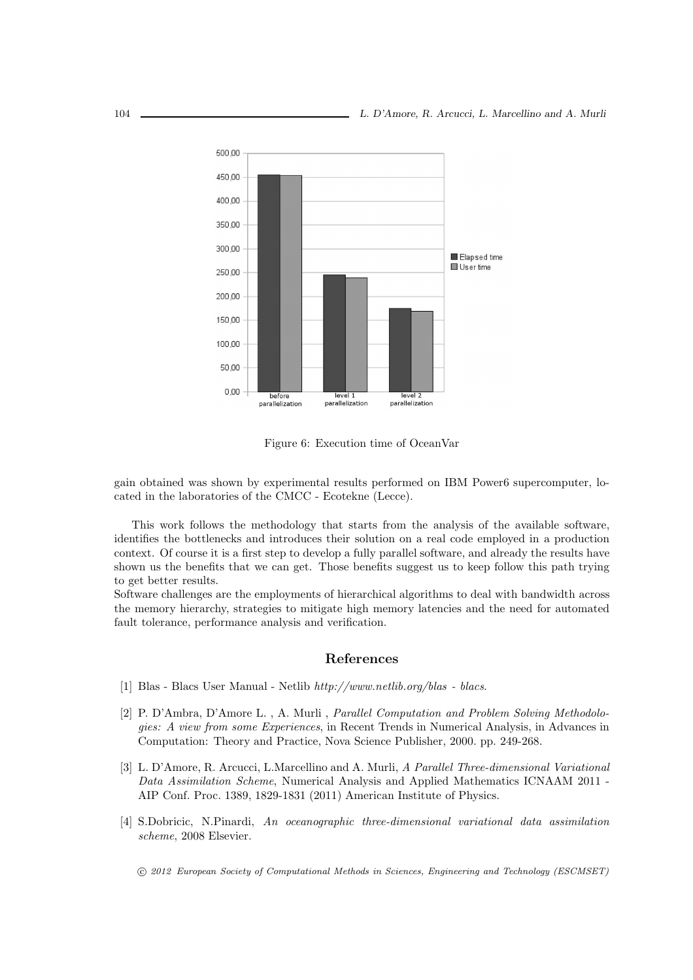

Figure 6: Execution time of OceanVar

gain obtained was shown by experimental results performed on IBM Power6 supercomputer, located in the laboratories of the CMCC - Ecotekne (Lecce).

This work follows the methodology that starts from the analysis of the available software, identifies the bottlenecks and introduces their solution on a real code employed in a production context. Of course it is a first step to develop a fully parallel software, and already the results have shown us the benefits that we can get. Those benefits suggest us to keep follow this path trying to get better results.

Software challenges are the employments of hierarchical algorithms to deal with bandwidth across the memory hierarchy, strategies to mitigate high memory latencies and the need for automated fault tolerance, performance analysis and verification.

## References

- [1] Blas Blacs User Manual Netlib http://www.netlib.org/blas blacs.
- [2] P. D'Ambra, D'Amore L. , A. Murli , Parallel Computation and Problem Solving Methodologies: A view from some Experiences, in Recent Trends in Numerical Analysis, in Advances in Computation: Theory and Practice, Nova Science Publisher, 2000. pp. 249-268.
- [3] L. D'Amore, R. Arcucci, L.Marcellino and A. Murli, A Parallel Three-dimensional Variational Data Assimilation Scheme, Numerical Analysis and Applied Mathematics ICNAAM 2011 - AIP Conf. Proc. 1389, 1829-1831 (2011) American Institute of Physics.
- [4] S.Dobricic, N.Pinardi, An oceanographic three-dimensional variational data assimilation scheme, 2008 Elsevier.